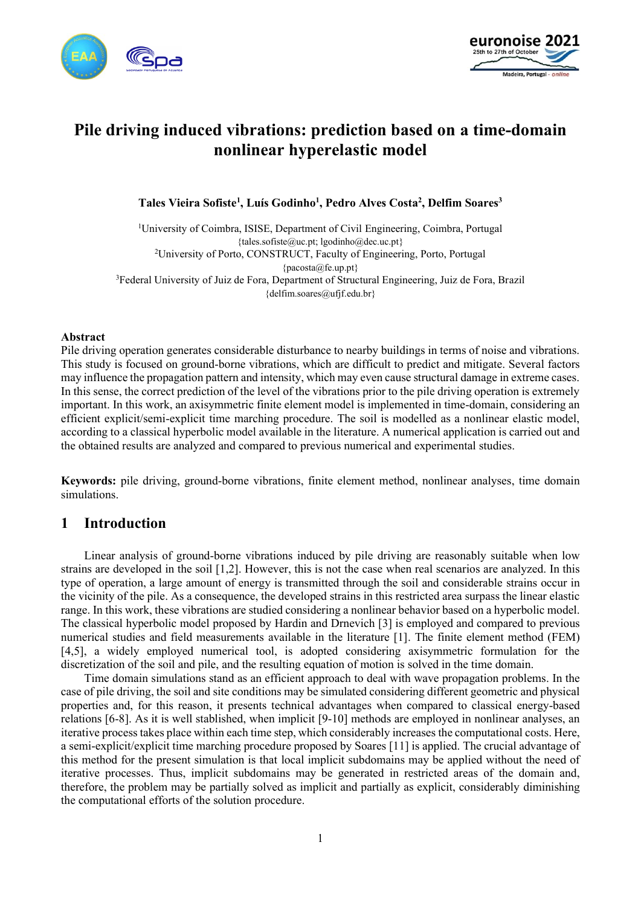



# **Pile driving induced vibrations: prediction based on a time-domain nonlinear hyperelastic model**

**Tales Vieira Sofiste<sup>1</sup> , Luís Godinho<sup>1</sup> , Pedro Alves Costa<sup>2</sup> , Delfim Soares<sup>3</sup>**

<sup>1</sup>University of Coimbra, ISISE, Department of Civil Engineering, Coimbra, Portugal {tales.sofiste@uc.pt; lgodinho@dec.uc.pt} <sup>2</sup>University of Porto, CONSTRUCT, Faculty of Engineering, Porto, Portugal {pacosta@fe.up.pt} <sup>3</sup>Federal University of Juiz de Fora, Department of Structural Engineering, Juiz de Fora, Brazil {delfim.soares@ufjf.edu.br}

#### **Abstract**

Pile driving operation generates considerable disturbance to nearby buildings in terms of noise and vibrations. This study is focused on ground-borne vibrations, which are difficult to predict and mitigate. Several factors may influence the propagation pattern and intensity, which may even cause structural damage in extreme cases. In this sense, the correct prediction of the level of the vibrations prior to the pile driving operation is extremely important. In this work, an axisymmetric finite element model is implemented in time-domain, considering an efficient explicit/semi-explicit time marching procedure. The soil is modelled as a nonlinear elastic model, according to a classical hyperbolic model available in the literature. A numerical application is carried out and the obtained results are analyzed and compared to previous numerical and experimental studies.

**Keywords:** pile driving, ground-borne vibrations, finite element method, nonlinear analyses, time domain simulations.

## **1 Introduction**

Linear analysis of ground-borne vibrations induced by pile driving are reasonably suitable when low strains are developed in the soil [1,2]. However, this is not the case when real scenarios are analyzed. In this type of operation, a large amount of energy is transmitted through the soil and considerable strains occur in the vicinity of the pile. As a consequence, the developed strains in this restricted area surpass the linear elastic range. In this work, these vibrations are studied considering a nonlinear behavior based on a hyperbolic model. The classical hyperbolic model proposed by Hardin and Drnevich [3] is employed and compared to previous numerical studies and field measurements available in the literature [1]. The finite element method (FEM) [4,5], a widely employed numerical tool, is adopted considering axisymmetric formulation for the discretization of the soil and pile, and the resulting equation of motion is solved in the time domain.

Time domain simulations stand as an efficient approach to deal with wave propagation problems. In the case of pile driving, the soil and site conditions may be simulated considering different geometric and physical properties and, for this reason, it presents technical advantages when compared to classical energy-based relations [6-8]. As it is well stablished, when implicit [9-10] methods are employed in nonlinear analyses, an iterative process takes place within each time step, which considerably increases the computational costs. Here, a semi-explicit/explicit time marching procedure proposed by Soares [11] is applied. The crucial advantage of this method for the present simulation is that local implicit subdomains may be applied without the need of iterative processes. Thus, implicit subdomains may be generated in restricted areas of the domain and, therefore, the problem may be partially solved as implicit and partially as explicit, considerably diminishing the computational efforts of the solution procedure.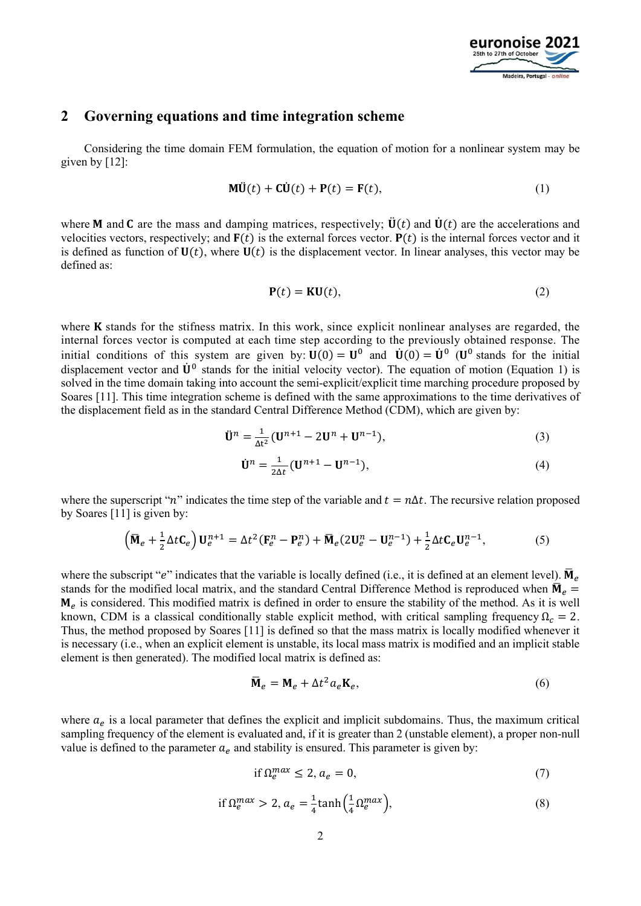

### **2 Governing equations and time integration scheme**

Considering the time domain FEM formulation, the equation of motion for a nonlinear system may be given by [12]:

$$
\mathbf{M}\ddot{\mathbf{U}}(t) + \mathbf{C}\dot{\mathbf{U}}(t) + \mathbf{P}(t) = \mathbf{F}(t),
$$
\n(1)

where **M** and **C** are the mass and damping matrices, respectively;  $\ddot{\mathbf{U}}(t)$  and  $\dot{\mathbf{U}}(t)$  are the accelerations and velocities vectors, respectively; and  $F(t)$  is the external forces vector.  $P(t)$  is the internal forces vector and it is defined as function of  $U(t)$ , where  $U(t)$  is the displacement vector. In linear analyses, this vector may be defined as:

$$
\mathbf{P}(t) = \mathbf{K}\mathbf{U}(t),\tag{2}
$$

where  $\bf{K}$  stands for the stifness matrix. In this work, since explicit nonlinear analyses are regarded, the internal forces vector is computed at each time step according to the previously obtained response. The initial conditions of this system are given by:  $U(0) = U^0$  and  $\dot{U}(0) = \dot{U}^0$  ( $U^0$  stands for the initial displacement vector and  $\dot{\mathbf{U}}^0$  stands for the initial velocity vector). The equation of motion (Equation 1) is solved in the time domain taking into account the semi-explicit/explicit time marching procedure proposed by Soares [11]. This time integration scheme is defined with the same approximations to the time derivatives of the displacement field as in the standard Central Difference Method (CDM), which are given by:

$$
\ddot{\mathbf{U}}^{n} = \frac{1}{\Delta t^{2}} (\mathbf{U}^{n+1} - 2\mathbf{U}^{n} + \mathbf{U}^{n-1}),
$$
\n(3)

$$
\dot{\mathbf{U}}^{n} = \frac{1}{2\Delta t} (\mathbf{U}^{n+1} - \mathbf{U}^{n-1}),
$$
\n(4)

where the superscript "n" indicates the time step of the variable and  $t = n\Delta t$ . The recursive relation proposed by Soares [11] is given by:

$$
\left(\overline{\mathbf{M}}_e + \frac{1}{2}\Delta t \mathbf{C}_e\right) \mathbf{U}_e^{n+1} = \Delta t^2 (\mathbf{F}_e^n - \mathbf{P}_e^n) + \overline{\mathbf{M}}_e (2\mathbf{U}_e^n - \mathbf{U}_e^{n-1}) + \frac{1}{2}\Delta t \mathbf{C}_e \mathbf{U}_e^{n-1},\tag{5}
$$

where the subscript "e" indicates that the variable is locally defined (i.e., it is defined at an element level).  $\bar{M}_e$ stands for the modified local matrix, and the standard Central Difference Method is reproduced when  $\bar{M}_e$  =  $M_e$  is considered. This modified matrix is defined in order to ensure the stability of the method. As it is well known, CDM is a classical conditionally stable explicit method, with critical sampling frequency  $\Omega_c = 2$ . Thus, the method proposed by Soares [11] is defined so that the mass matrix is locally modified whenever it is necessary (i.e., when an explicit element is unstable, its local mass matrix is modified and an implicit stable element is then generated). The modified local matrix is defined as:

$$
\overline{\mathbf{M}}_e = \mathbf{M}_e + \Delta t^2 a_e \mathbf{K}_e,\tag{6}
$$

where  $a_e$  is a local parameter that defines the explicit and implicit subdomains. Thus, the maximum critical sampling frequency of the element is evaluated and, if it is greater than 2 (unstable element), a proper non-null value is defined to the parameter  $a_e$  and stability is ensured. This parameter is given by:

$$
\text{if } \Omega_e^{max} \le 2, a_e = 0,\tag{7}
$$

$$
\text{if } \Omega_e^{max} > 2, a_e = \frac{1}{4} \tanh\left(\frac{1}{4} \Omega_e^{max}\right),\tag{8}
$$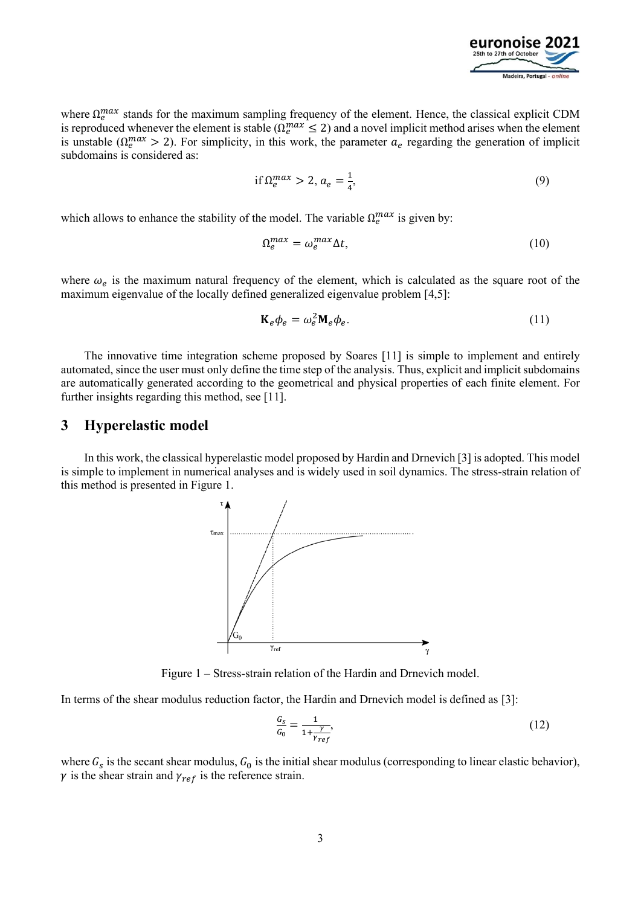

where  $\Omega_e^{max}$  stands for the maximum sampling frequency of the element. Hence, the classical explicit CDM is reproduced whenever the element is stable ( $\Omega_e^{max} \le 2$ ) and a novel implicit method arises when the element is unstable ( $\Omega_e^{max} > 2$ ). For simplicity, in this work, the parameter  $a_e$  regarding the generation of implicit subdomains is considered as:

$$
\text{if } \Omega_e^{max} > 2, a_e = \frac{1}{4},\tag{9}
$$

which allows to enhance the stability of the model. The variable  $\Omega_e^{max}$  is given by:

$$
\Omega_e^{max} = \omega_e^{max} \Delta t,\tag{10}
$$

where  $\omega_e$  is the maximum natural frequency of the element, which is calculated as the square root of the maximum eigenvalue of the locally defined generalized eigenvalue problem [4,5]:

$$
\mathbf{K}_e \phi_e = \omega_e^2 \mathbf{M}_e \phi_e. \tag{11}
$$

The innovative time integration scheme proposed by Soares [11] is simple to implement and entirely automated, since the user must only define the time step of the analysis. Thus, explicit and implicit subdomains are automatically generated according to the geometrical and physical properties of each finite element. For further insights regarding this method, see [11].

### **3 Hyperelastic model**

In this work, the classical hyperelastic model proposed by Hardin and Drnevich [3] is adopted. This model is simple to implement in numerical analyses and is widely used in soil dynamics. The stress-strain relation of this method is presented in Figure 1.



Figure 1 – Stress-strain relation of the Hardin and Drnevich model.

In terms of the shear modulus reduction factor, the Hardin and Drnevich model is defined as [3]:

$$
\frac{G_s}{G_0} = \frac{1}{1 + \frac{\gamma}{\gamma_{ref}}},\tag{12}
$$

where  $G_s$  is the secant shear modulus,  $G_0$  is the initial shear modulus (corresponding to linear elastic behavior),  $\gamma$  is the shear strain and  $\gamma_{ref}$  is the reference strain.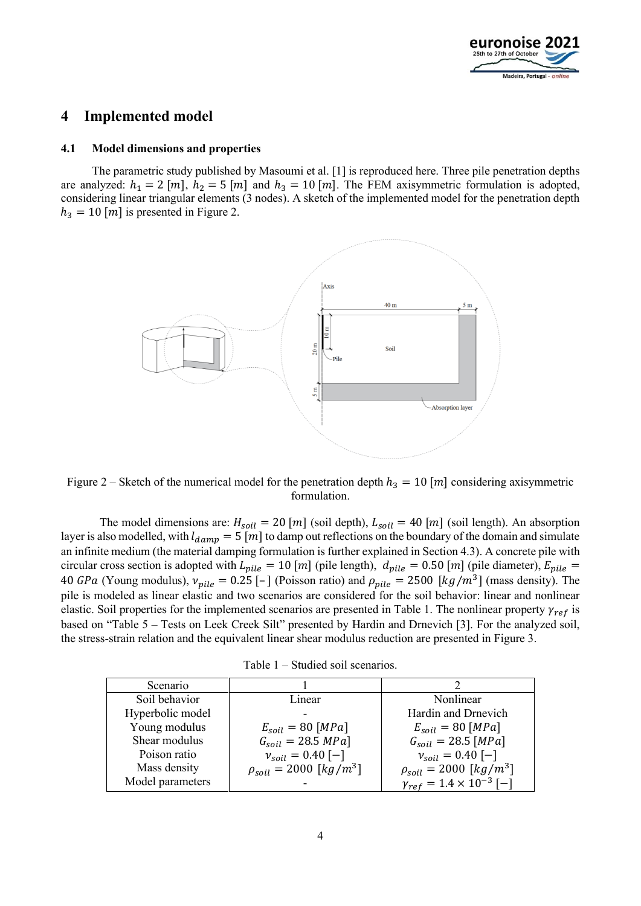

## **4 Implemented model**

#### **4.1 Model dimensions and properties**

The parametric study published by Masoumi et al. [1] is reproduced here. Three pile penetration depths are analyzed:  $h_1 = 2 [m], h_2 = 5 [m]$  and  $h_3 = 10 [m]$ . The FEM axisymmetric formulation is adopted, considering linear triangular elements (3 nodes). A sketch of the implemented model for the penetration depth  $h_3 = 10$  [m] is presented in Figure 2.



Figure 2 – Sketch of the numerical model for the penetration depth  $h_3 = 10$  [m] considering axisymmetric formulation.

The model dimensions are:  $H_{soil} = 20$  [m] (soil depth),  $L_{soil} = 40$  [m] (soil length). An absorption layer is also modelled, with  $l_{damp} = 5 \overline{m}$  to damp out reflections on the boundary of the domain and simulate an infinite medium (the material damping formulation is further explained in Section 4.3). A concrete pile with circular cross section is adopted with  $L_{pile} = 10$  [*m*] (pile length),  $d_{pile} = 0.50$  [*m*] (pile diameter),  $E_{pile} =$ 40 GPa (Young modulus),  $v_{pile} = 0.25$  [-] (Poisson ratio) and  $\rho_{pile} = 2500$  [kg/m<sup>3</sup>] (mass density). The pile is modeled as linear elastic and two scenarios are considered for the soil behavior: linear and nonlinear elastic. Soil properties for the implemented scenarios are presented in Table 1. The nonlinear property  $\gamma_{ref}$  is based on "Table 5 – Tests on Leek Creek Silt" presented by Hardin and Drnevich [3]. For the analyzed soil, the stress-strain relation and the equivalent linear shear modulus reduction are presented in Figure 3.

|  |  | Table $1$ – Studied soil scenarios. |
|--|--|-------------------------------------|
|  |  |                                     |

| Scenario         |                                  |                                         |
|------------------|----------------------------------|-----------------------------------------|
| Soil behavior    | Linear                           | Nonlinear                               |
| Hyperbolic model | -                                | Hardin and Drnevich                     |
| Young modulus    | $E_{soil} = 80$ [MPa]            | $E_{soil} = 80$ [MPa]                   |
| Shear modulus    | $G_{soil} = 28.5 MPa$            | $G_{soil} = 28.5$ [MPa]                 |
| Poison ratio     | $v_{soil} = 0.40$ [-]            | $v_{soil} = 0.40$ [-]                   |
| Mass density     | $\rho_{soil} = 2000 \, [kg/m^3]$ | $\rho_{soil} = 2000 [kg/m^3]$           |
| Model parameters |                                  | $\gamma_{ref} = 1.4 \times 10^{-3}$ [-] |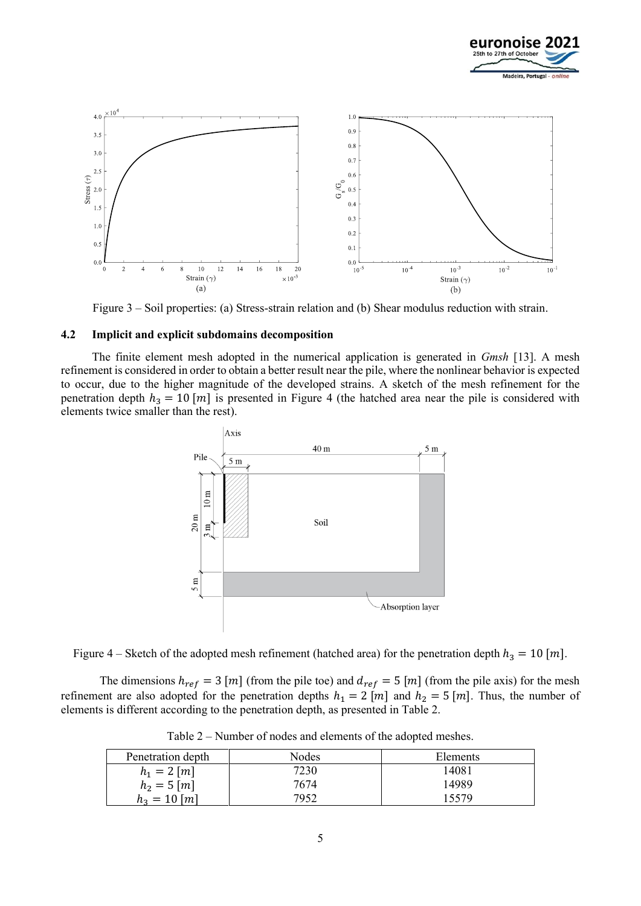



Figure 3 – Soil properties: (a) Stress-strain relation and (b) Shear modulus reduction with strain.

#### **4.2 Implicit and explicit subdomains decomposition**

The finite element mesh adopted in the numerical application is generated in *Gmsh* [13]. A mesh refinement is considered in order to obtain a better result near the pile, where the nonlinear behavior is expected to occur, due to the higher magnitude of the developed strains. A sketch of the mesh refinement for the penetration depth  $h_3 = 10$  [m] is presented in Figure 4 (the hatched area near the pile is considered with elements twice smaller than the rest).



Figure 4 – Sketch of the adopted mesh refinement (hatched area) for the penetration depth  $h_3 = 10$  [m].

The dimensions  $h_{ref} = 3 [m]$  (from the pile toe) and  $d_{ref} = 5 [m]$  (from the pile axis) for the mesh refinement are also adopted for the penetration depths  $h_1 = 2 [m]$  and  $h_2 = 5 [m]$ . Thus, the number of elements is different according to the penetration depth, as presented in Table 2.

| Penetration depth | Nodes | Elements |
|-------------------|-------|----------|
| $h_1 = 2 \, [m]$  | 7230  | 14081    |
| $h_2 = 5 \, [m]$  | 7674  | 14989    |
| $h_3 = 10$ [m]    | 7952  | 15579    |

Table 2 – Number of nodes and elements of the adopted meshes.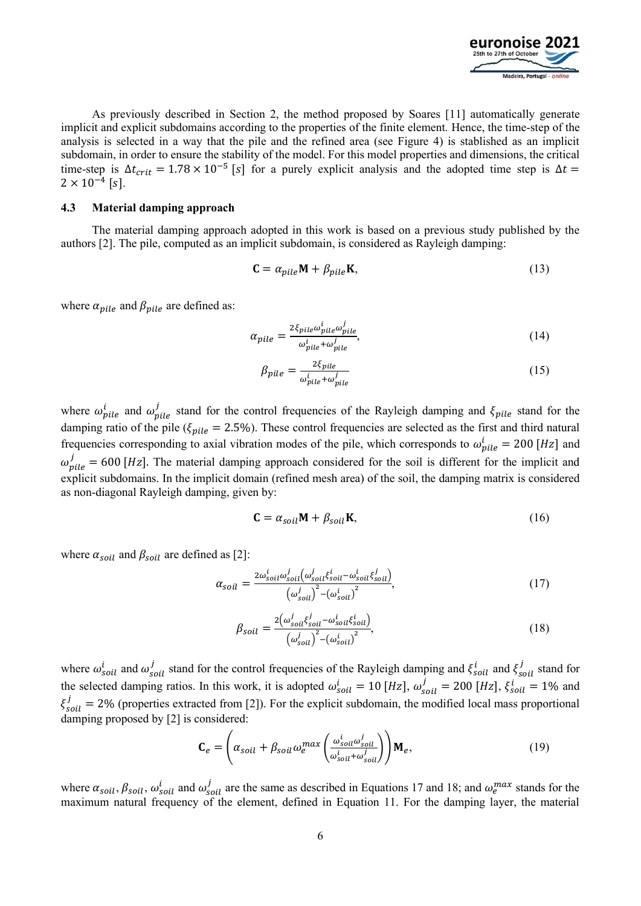

As previously described in Section 2, the method proposed by Soares [11] automatically generate implicit and explicit subdomains according to the properties of the finite element. Hence, the time-step of the analysis is selected in a way that the pile and the refined area (see Figure 4) is stablished as an implicit subdomain, in order to ensure the stability of the model. For this model properties and dimensions, the critical time-step is  $\Delta t_{crit} = 1.78 \times 10^{-5}$  [s] for a purely explicit analysis and the adopted time step is  $\Delta t =$  $2 \times 10^{-4}$  [s].

#### **4.3 Material damping approach**

The material damping approach adopted in this work is based on a previous study published by the authors [2]. The pile, computed as an implicit subdomain, is considered as Rayleigh damping:

$$
\mathbf{C} = \alpha_{pile} \mathbf{M} + \beta_{pile} \mathbf{K},\tag{13}
$$

where  $\alpha_{pile}$  and  $\beta_{pile}$  are defined as:

$$
\alpha_{pile} = \frac{2\xi_{pile}\omega_{pile}^i \omega_{pile}^j}{\omega_{pile}^i + \omega_{pile}^j},\tag{14}
$$

$$
\beta_{pile} = \frac{2\xi_{pile}}{\omega_{pile}^i + \omega_{pile}^j}
$$
\n(15)

where  $\omega_{pile}^i$  and  $\omega_{pile}^j$  stand for the control frequencies of the Rayleigh damping and  $\xi_{pile}$  stand for the damping ratio of the pile ( $\xi_{\text{pile}} = 2.5\%$ ). These control frequencies are selected as the first and third natural frequencies corresponding to axial vibration modes of the pile, which corresponds to  $\omega_{pile}^i = 200$  [Hz] and  $\omega_{pile}^j = 600$  [Hz]. The material damping approach considered for the soil is different for the implicit and explicit subdomains. In the implicit domain (refined mesh area) of the soil, the damping matrix is considered as non-diagonal Rayleigh damping, given by:

$$
\mathbf{C} = \alpha_{soil} \mathbf{M} + \beta_{soil} \mathbf{K},\tag{16}
$$

where  $\alpha_{soil}$  and  $\beta_{soil}$  are defined as [2]:

$$
\alpha_{soil} = \frac{2\omega_{soil}^i \omega_{soil}^j \left(\omega_{soil}^j \xi_{soil}^i - \omega_{soil}^i \xi_{soil}^j\right)}{\left(\omega_{soil}^j\right)^2 - \left(\omega_{soil}^i\right)^2},\tag{17}
$$

$$
\beta_{soil} = \frac{2(\omega_{soil}^j \xi_{soil}^j - \omega_{soil}^i \xi_{soil}^i)}{(\omega_{soil}^j)^2 - (\omega_{soil}^i)^2},\tag{18}
$$

where  $\omega_{soil}^i$  and  $\omega_{soil}^j$  stand for the control frequencies of the Rayleigh damping and  $\xi_{soil}^i$  and  $\xi_{soil}^j$  stand for the selected damping ratios. In this work, it is adopted  $\omega_{soil}^i = 10$  [Hz],  $\omega_{soil}^j = 200$  [Hz],  $\xi_{soil}^i = 1\%$  and  $\xi_{soil}^j = 2\%$  (properties extracted from [2]). For the explicit subdomain, the modified local mass proportional damping proposed by [2] is considered:

$$
\mathbf{C}_e = \left(\alpha_{soil} + \beta_{soil} \omega_e^{max} \left( \frac{\omega_{soil}^i \omega_{soil}^j}{\omega_{soil}^i + \omega_{soil}^j} \right) \right) \mathbf{M}_e,\tag{19}
$$

where  $\alpha_{soil}$ ,  $\beta_{soil}$ ,  $\omega_{soil}^i$  and  $\omega_{soil}^j$  are the same as described in Equations 17 and 18; and  $\omega_e^{max}$  stands for the maximum natural frequency of the element, defined in Equation 11. For the damping layer, the material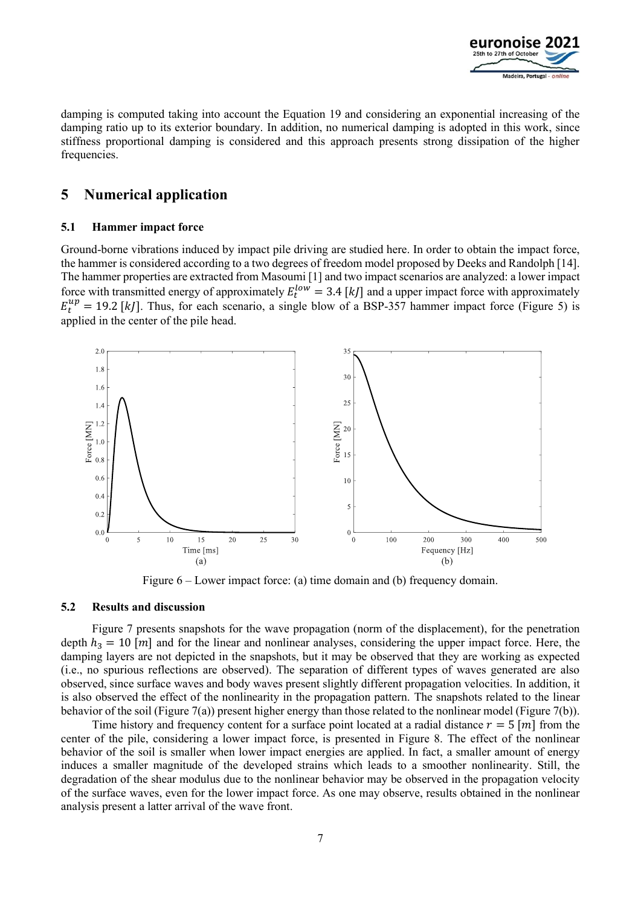

damping is computed taking into account the Equation 19 and considering an exponential increasing of the damping ratio up to its exterior boundary. In addition, no numerical damping is adopted in this work, since stiffness proportional damping is considered and this approach presents strong dissipation of the higher frequencies.

## **5 Numerical application**

#### **5.1 Hammer impact force**

Ground-borne vibrations induced by impact pile driving are studied here. In order to obtain the impact force, the hammer is considered according to a two degrees of freedom model proposed by Deeks and Randolph [14]. The hammer properties are extracted from Masoumi [1] and two impact scenarios are analyzed: a lower impact force with transmitted energy of approximately  $E_t^{low} = 3.4$  [kJ] and a upper impact force with approximately  $E_t^{up} = 19.2$  [kJ]. Thus, for each scenario, a single blow of a BSP-357 hammer impact force (Figure 5) is applied in the center of the pile head.



Figure 6 – Lower impact force: (a) time domain and (b) frequency domain.

#### **5.2 Results and discussion**

Figure 7 presents snapshots for the wave propagation (norm of the displacement), for the penetration depth  $h_2 = 10$  [m] and for the linear and nonlinear analyses, considering the upper impact force. Here, the damping layers are not depicted in the snapshots, but it may be observed that they are working as expected (i.e., no spurious reflections are observed). The separation of different types of waves generated are also observed, since surface waves and body waves present slightly different propagation velocities. In addition, it is also observed the effect of the nonlinearity in the propagation pattern. The snapshots related to the linear behavior of the soil (Figure 7(a)) present higher energy than those related to the nonlinear model (Figure 7(b)).

Time history and frequency content for a surface point located at a radial distance  $r = 5$  [m] from the center of the pile, considering a lower impact force, is presented in Figure 8. The effect of the nonlinear behavior of the soil is smaller when lower impact energies are applied. In fact, a smaller amount of energy induces a smaller magnitude of the developed strains which leads to a smoother nonlinearity. Still, the degradation of the shear modulus due to the nonlinear behavior may be observed in the propagation velocity of the surface waves, even for the lower impact force. As one may observe, results obtained in the nonlinear analysis present a latter arrival of the wave front.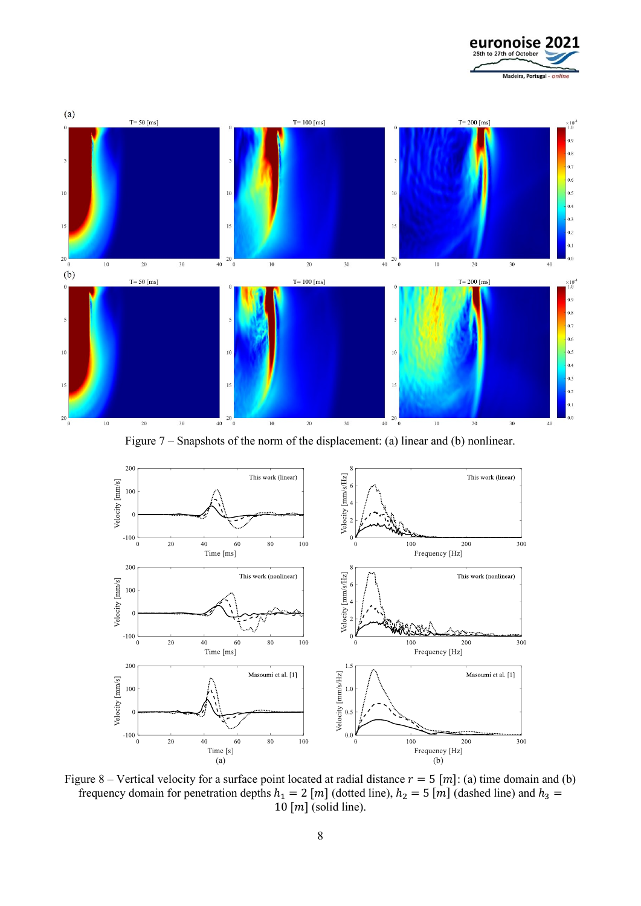



Figure 7 – Snapshots of the norm of the displacement: (a) linear and (b) nonlinear.



Figure 8 – Vertical velocity for a surface point located at radial distance  $r = 5$  [m]: (a) time domain and (b) frequency domain for penetration depths  $h_1 = 2$  [m] (dotted line),  $h_2 = 5$  [m] (dashed line) and  $h_3 =$  $10 \,[m]$  (solid line).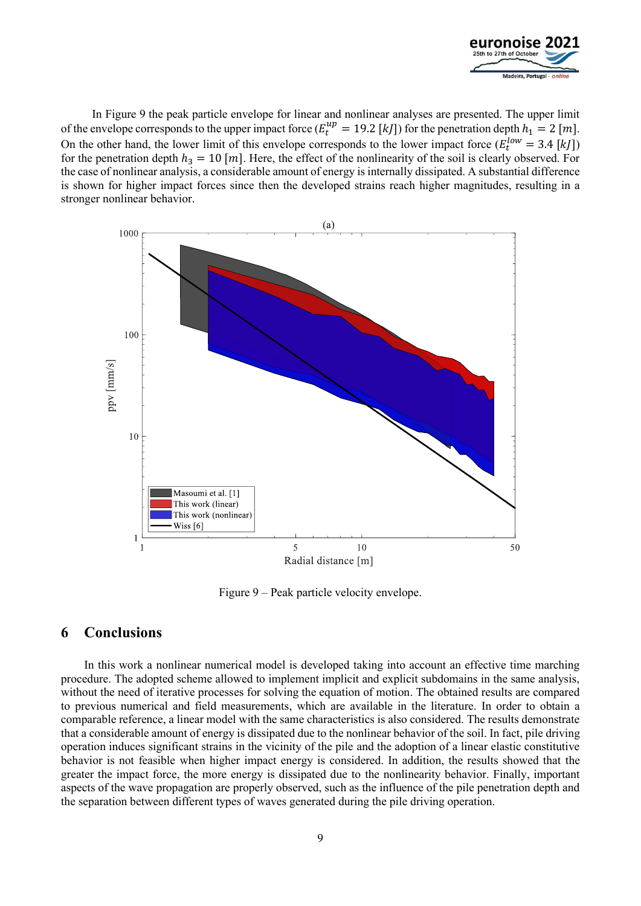

In Figure 9 the peak particle envelope for linear and nonlinear analyses are presented. The upper limit of the envelope corresponds to the upper impact force  $(E_t^{up} = 19.2 \text{ [}kl\text{]})$  for the penetration depth  $h_1 = 2 \text{ [}ml\text{]}$ . On the other hand, the lower limit of this envelope corresponds to the lower impact force  $(E_t^{low} = 3.4$  [kJ]) for the penetration depth  $h_3 = 10$  [m]. Here, the effect of the nonlinearity of the soil is clearly observed. For the case of nonlinear analysis, a considerable amount of energy is internally dissipated. A substantial difference is shown for higher impact forces since then the developed strains reach higher magnitudes, resulting in a stronger nonlinear behavior.



Figure 9 – Peak particle velocity envelope.

### **6 Conclusions**

In this work a nonlinear numerical model is developed taking into account an effective time marching procedure. The adopted scheme allowed to implement implicit and explicit subdomains in the same analysis, without the need of iterative processes for solving the equation of motion. The obtained results are compared to previous numerical and field measurements, which are available in the literature. In order to obtain a comparable reference, a linear model with the same characteristics is also considered. The results demonstrate that a considerable amount of energy is dissipated due to the nonlinear behavior of the soil. In fact, pile driving operation induces significant strains in the vicinity of the pile and the adoption of a linear elastic constitutive behavior is not feasible when higher impact energy is considered. In addition, the results showed that the greater the impact force, the more energy is dissipated due to the nonlinearity behavior. Finally, important aspects of the wave propagation are properly observed, such as the influence of the pile penetration depth and the separation between different types of waves generated during the pile driving operation.